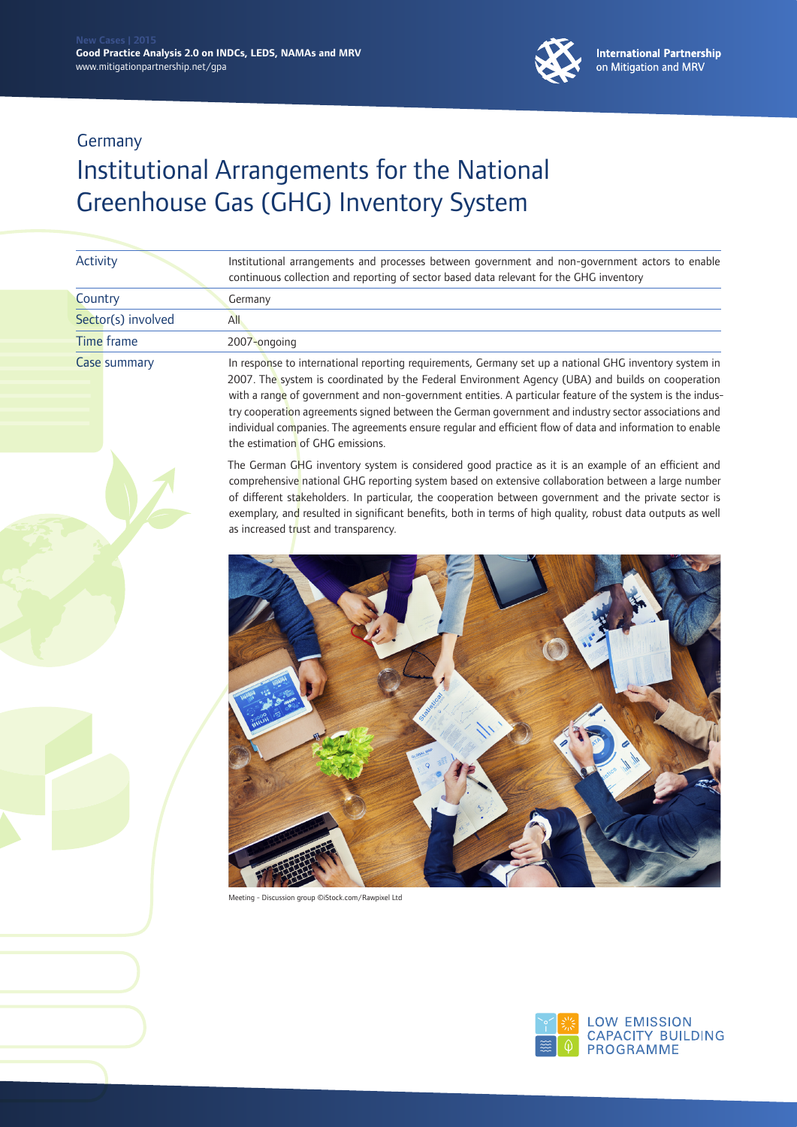

| <b>Activity</b>     | Institutional arrangements and processes between government and non-government actors to enable<br>continuous collection and reporting of sector based data relevant for the GHG inventory                                                                                                                                                                                                                                                                                                                                                                                      |
|---------------------|---------------------------------------------------------------------------------------------------------------------------------------------------------------------------------------------------------------------------------------------------------------------------------------------------------------------------------------------------------------------------------------------------------------------------------------------------------------------------------------------------------------------------------------------------------------------------------|
| Country             | Germany                                                                                                                                                                                                                                                                                                                                                                                                                                                                                                                                                                         |
| Sector(s) involved  | <b>All</b>                                                                                                                                                                                                                                                                                                                                                                                                                                                                                                                                                                      |
| Time frame          | 2007-ongoing                                                                                                                                                                                                                                                                                                                                                                                                                                                                                                                                                                    |
| <b>Case summary</b> | In response to international reporting requirements, Germany set up a national GHG inventory system in<br>2007. The system is coordinated by the Federal Environment Agency (UBA) and builds on cooperation<br>with a range of government and non-government entities. A particular feature of the system is the indus-<br>try cooperation agreements signed between the German government and industry sector associations and<br>individual companies. The agreements ensure regular and efficient flow of data and information to enable<br>the estimation of GHG emissions. |
|                     | The German GHG inventory system is considered good practice as it is an example of an efficient and<br>comprehensive national GHG reporting system based on extensive collaboration between a large number<br>of different stakeholders. In particular, the cooperation between government and the private sector is<br>exemplary, and resulted in significant benefits, both in terms of high quality, robust data outputs as well<br>as increased trust and transparency.                                                                                                     |
|                     |                                                                                                                                                                                                                                                                                                                                                                                                                                                                                                                                                                                 |



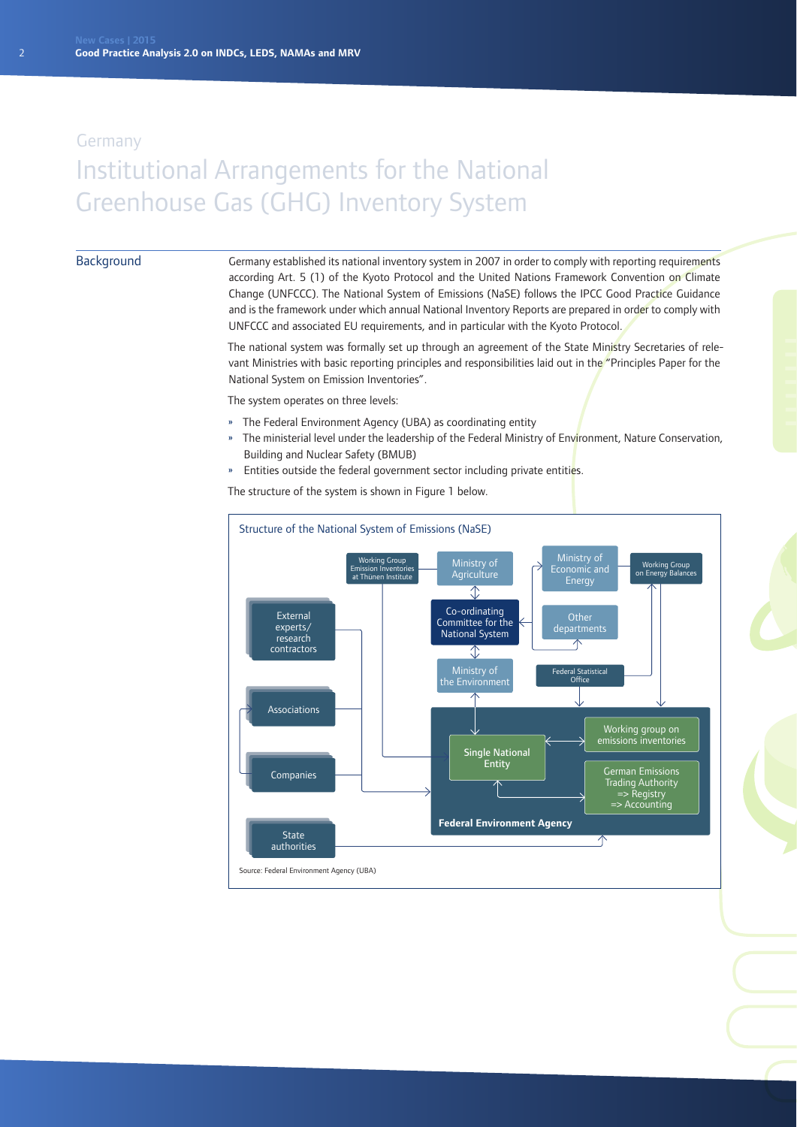#### Background

Germany established its national inventory system in 2007 in order to comply with reporting requirements according Art. 5 (1) of the Kyoto Protocol and the United Nations Framework Convention on Climate Change (UNFCCC). The National System of Emissions (NaSE) follows the IPCC Good Practice Guidance and is the framework under which annual National Inventory Reports are prepared in order to comply with UNFCCC and associated EU requirements, and in particular with the Kyoto Protocol.

The national system was formally set up through an agreement of the State Ministry Secretaries of relevant Ministries with basic reporting principles and responsibilities laid out in the "Principles Paper for the National System on Emission Inventories".

The system operates on three levels:

- » The Federal Environment Agency (UBA) as coordinating entity
- » The ministerial level under the leadership of the Federal Ministry of Environment, Nature Conservation, Building and Nuclear Safety (BMUB)
- » Entities outside the federal government sector including private entities.

The structure of the system is shown in Figure 1 below.

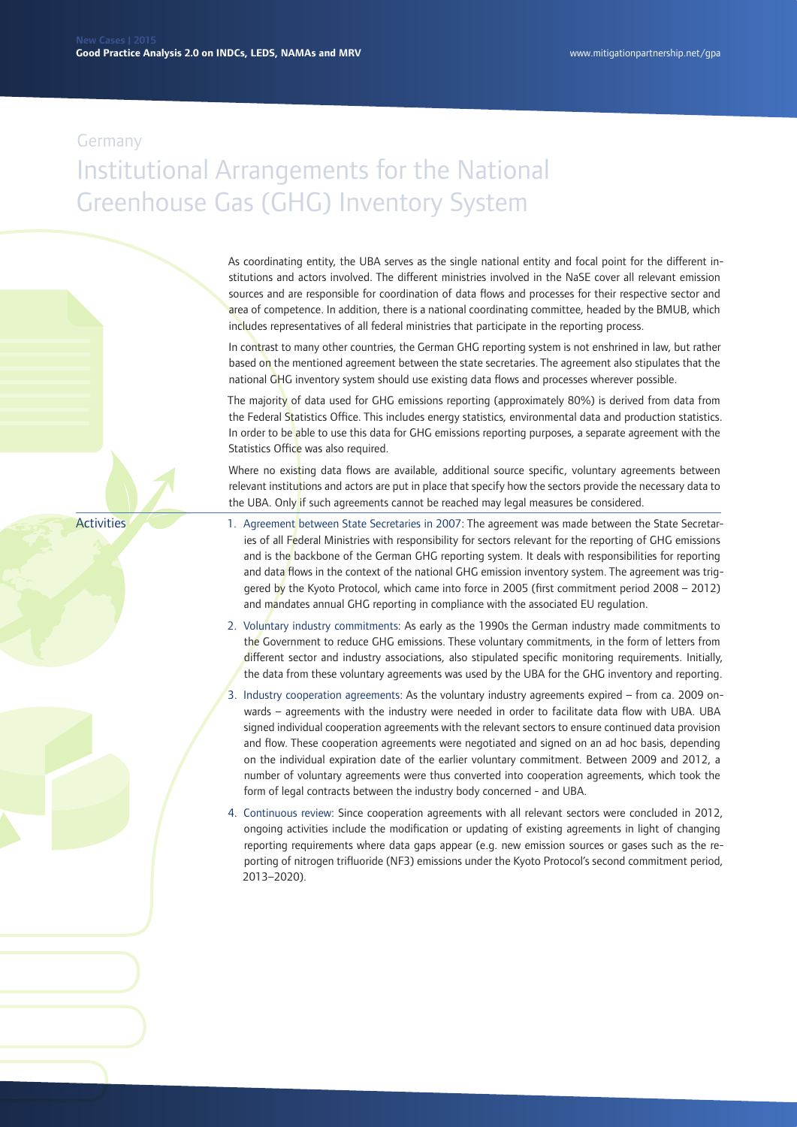As coordinating entity, the UBA serves as the single national entity and focal point for the different institutions and actors involved. The different ministries involved in the NaSE cover all relevant emission sources and are responsible for coordination of data flows and processes for their respective sector and area of competence. In addition, there is a national coordinating committee, headed by the BMUB, which includes representatives of all federal ministries that participate in the reporting process.

In contrast to many other countries, the German GHG reporting system is not enshrined in law, but rather based on the mentioned agreement between the state secretaries. The agreement also stipulates that the national GHG inventory system should use existing data flows and processes wherever possible.

The majority of data used for GHG emissions reporting (approximately 80%) is derived from data from the Federal Statistics Office. This includes energy statistics, environmental data and production statistics. In order to be able to use this data for GHG emissions reporting purposes, a separate agreement with the Statistics Office was also required.

Where no existing data flows are available, additional source specific, voluntary agreements between relevant institutions and actors are put in place that specify how the sectors provide the necessary data to the UBA. Only if such agreements cannot be reached may legal measures be considered.

**Activities** 

- 1. Agreement between State Secretaries in 2007: The agreement was made between the State Secretaries of all Federal Ministries with responsibility for sectors relevant for the reporting of GHG emissions and is the backbone of the German GHG reporting system. It deals with responsibilities for reporting and data flows in the context of the national GHG emission inventory system. The agreement was triggered by the Kyoto Protocol, which came into force in 2005 (first commitment period 2008 – 2012) and mandates annual GHG reporting in compliance with the associated EU regulation.
- 2. Voluntary industry commitments: As early as the 1990s the German industry made commitments to the Government to reduce GHG emissions. These voluntary commitments, in the form of letters from different sector and industry associations, also stipulated specific monitoring requirements. Initially, the data from these voluntary agreements was used by the UBA for the GHG inventory and reporting.
- 3. Industry cooperation agreements: As the voluntary industry agreements expired from ca. 2009 onwards – agreements with the industry were needed in order to facilitate data flow with UBA. UBA signed individual cooperation agreements with the relevant sectors to ensure continued data provision and flow. These cooperation agreements were negotiated and signed on an ad hoc basis, depending on the individual expiration date of the earlier voluntary commitment. Between 2009 and 2012, a number of voluntary agreements were thus converted into cooperation agreements, which took the form of legal contracts between the industry body concerned - and UBA.
- 4. Continuous review: Since cooperation agreements with all relevant sectors were concluded in 2012, ongoing activities include the modification or updating of existing agreements in light of changing reporting requirements where data gaps appear (e.g. new emission sources or gases such as the reporting of nitrogen trifluoride (NF3) emissions under the Kyoto Protocol's second commitment period, 2013–2020).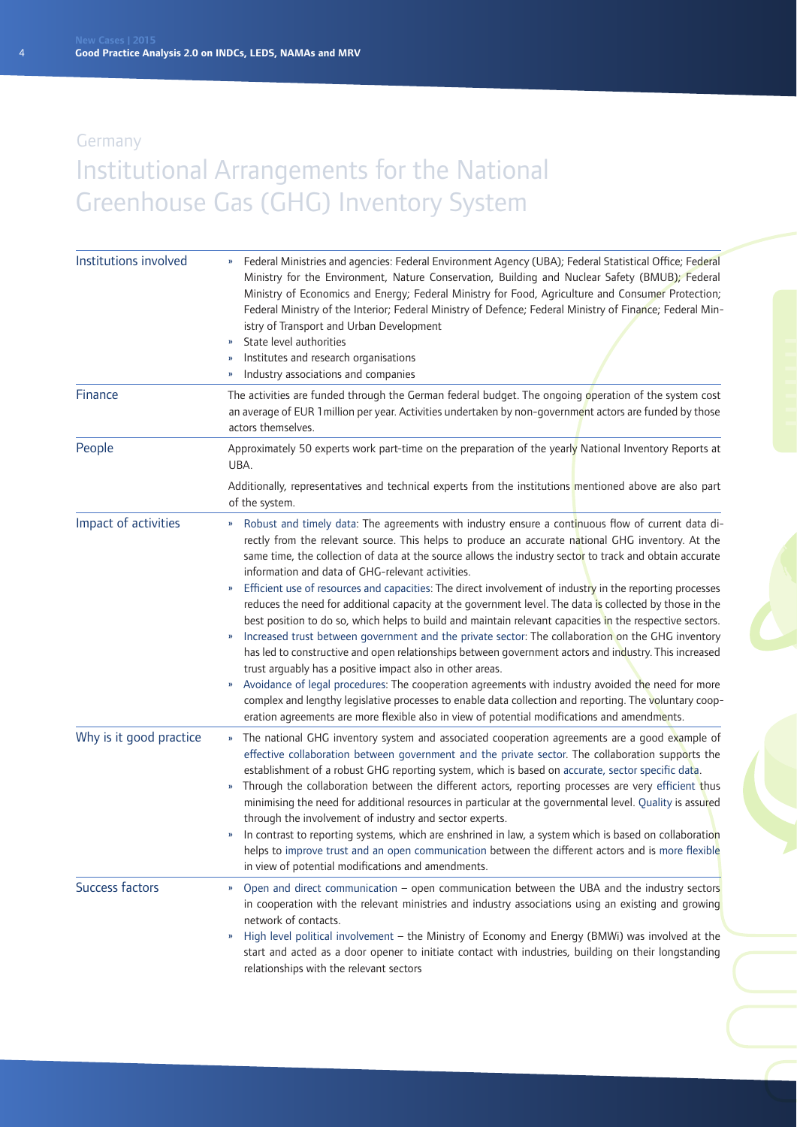| Institutions involved   | Federal Ministries and agencies: Federal Environment Agency (UBA); Federal Statistical Office; Federal<br>Ministry for the Environment, Nature Conservation, Building and Nuclear Safety (BMUB); Federal<br>Ministry of Economics and Energy; Federal Ministry for Food, Agriculture and Consumer Protection;<br>Federal Ministry of the Interior; Federal Ministry of Defence; Federal Ministry of Finance; Federal Min-<br>istry of Transport and Urban Development<br>State level authorities<br>Institutes and research organisations<br>Industry associations and companies<br>»                                                                                                                                                                                                                                                                                                                                                                                                                                                                                                                                                                                                                                                                                                                                         |
|-------------------------|-------------------------------------------------------------------------------------------------------------------------------------------------------------------------------------------------------------------------------------------------------------------------------------------------------------------------------------------------------------------------------------------------------------------------------------------------------------------------------------------------------------------------------------------------------------------------------------------------------------------------------------------------------------------------------------------------------------------------------------------------------------------------------------------------------------------------------------------------------------------------------------------------------------------------------------------------------------------------------------------------------------------------------------------------------------------------------------------------------------------------------------------------------------------------------------------------------------------------------------------------------------------------------------------------------------------------------|
| Finance                 | The activities are funded through the German federal budget. The ongoing operation of the system cost<br>an average of EUR 1 million per year. Activities undertaken by non-government actors are funded by those<br>actors themselves.                                                                                                                                                                                                                                                                                                                                                                                                                                                                                                                                                                                                                                                                                                                                                                                                                                                                                                                                                                                                                                                                                       |
| People                  | Approximately 50 experts work part-time on the preparation of the yearly National Inventory Reports at<br>UBA.                                                                                                                                                                                                                                                                                                                                                                                                                                                                                                                                                                                                                                                                                                                                                                                                                                                                                                                                                                                                                                                                                                                                                                                                                |
|                         | Additionally, representatives and technical experts from the institutions mentioned above are also part<br>of the system.                                                                                                                                                                                                                                                                                                                                                                                                                                                                                                                                                                                                                                                                                                                                                                                                                                                                                                                                                                                                                                                                                                                                                                                                     |
| Impact of activities    | Robust and timely data: The agreements with industry ensure a continuous flow of current data di-<br>$\mathbf{v}$<br>rectly from the relevant source. This helps to produce an accurate national GHG inventory. At the<br>same time, the collection of data at the source allows the industry sector to track and obtain accurate<br>information and data of GHG-relevant activities.<br>Efficient use of resources and capacities: The direct involvement of industry in the reporting processes<br>»<br>reduces the need for additional capacity at the government level. The data is collected by those in the<br>best position to do so, which helps to build and maintain relevant capacities in the respective sectors.<br>Increased trust between government and the private sector: The collaboration on the GHG inventory<br>has led to constructive and open relationships between government actors and industry. This increased<br>trust arguably has a positive impact also in other areas.<br>Avoidance of legal procedures: The cooperation agreements with industry avoided the need for more<br>W.<br>complex and lengthy legislative processes to enable data collection and reporting. The voluntary coop-<br>eration agreements are more flexible also in view of potential modifications and amendments. |
| Why is it good practice | The national GHG inventory system and associated cooperation agreements are a good example of<br>$\mathbf{v}$<br>effective collaboration between government and the private sector. The collaboration supports the<br>establishment of a robust GHG reporting system, which is based on accurate, sector specific data.<br>Through the collaboration between the different actors, reporting processes are very efficient thus<br>$\pmb{\mathcal{Y}}$<br>minimising the need for additional resources in particular at the governmental level. Quality is assured<br>through the involvement of industry and sector experts.<br>In contrast to reporting systems, which are enshrined in law, a system which is based on collaboration<br>helps to improve trust and an open communication between the different actors and is more flexible<br>in view of potential modifications and amendments.                                                                                                                                                                                                                                                                                                                                                                                                                            |
| Success factors         | Open and direct communication - open communication between the UBA and the industry sectors<br>$\boldsymbol{\mathcal{V}}$<br>in cooperation with the relevant ministries and industry associations using an existing and growing<br>network of contacts.<br>High level political involvement - the Ministry of Economy and Energy (BMWi) was involved at the<br>»<br>start and acted as a door opener to initiate contact with industries, building on their longstanding<br>relationships with the relevant sectors                                                                                                                                                                                                                                                                                                                                                                                                                                                                                                                                                                                                                                                                                                                                                                                                          |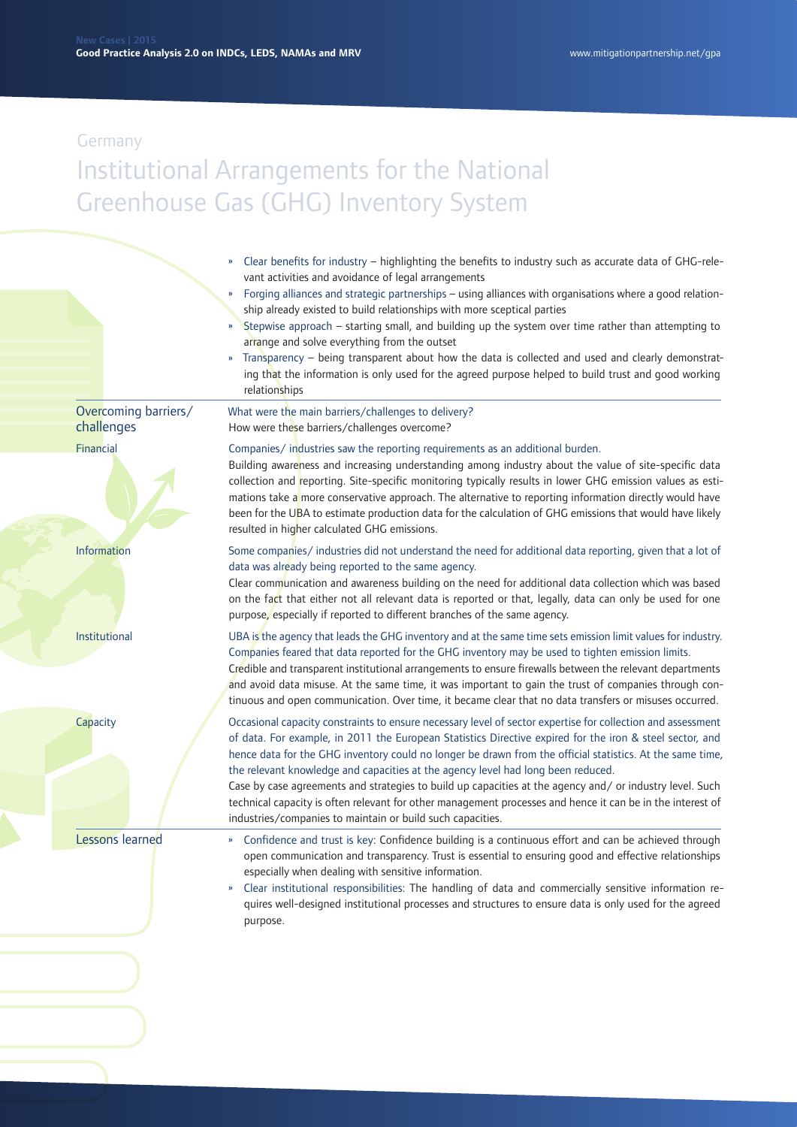- » Clear benefits for industry highlighting the benefits to industry such as accurate data of GHG-relevant activities and avoidance of legal arrangements
- » Forging alliances and strategic partnerships using alliances with organisations where a good relationship already existed to build relationships with more sceptical parties
- » Stepwise approach starting small, and building up the system over time rather than attempting to arrange and solve everything from the outset
- » Transparency being transparent about how the data is collected and used and clearly demonstrating that the information is only used for the agreed purpose helped to build trust and good working relationships

#### What were the main barriers/challenges to delivery? How were these barriers/challenges overcome? Overcoming barriers/ challenges

Companies/ industries saw the reporting requirements as an additional burden.

Building awareness and increasing understanding among industry about the value of site-specific data collection and reporting. Site-specific monitoring typically results in lower GHG emission values as estimations take a more conservative approach. The alternative to reporting information directly would have been for the UBA to estimate production data for the calculation of GHG emissions that would have likely resulted in higher calculated GHG emissions.

Some companies/ industries did not understand the need for additional data reporting, given that a lot of data was already being reported to the same agency.

Clear communication and awareness building on the need for additional data collection which was based on the fact that either not all relevant data is reported or that, legally, data can only be used for one

Institutional

Financial

Information

**Capacity** 

Lessons learned

purpose, especially if reported to different branches of the same agency.

UBA is the agency that leads the GHG inventory and at the same time sets emission limit values for industry. Companies feared that data reported for the GHG inventory may be used to tighten emission limits.

Credible and transparent institutional arrangements to ensure firewalls between the relevant departments and avoid data misuse. At the same time, it was important to gain the trust of companies through continuous and open communication. Over time, it became clear that no data transfers or misuses occurred.

Occasional capacity constraints to ensure necessary level of sector expertise for collection and assessment of data. For example, in 2011 the European Statistics Directive expired for the iron & steel sector, and hence data for the GHG inventory could no longer be drawn from the official statistics. At the same time, the relevant knowledge and capacities at the agency level had long been reduced.

Case by case agreements and strategies to build up capacities at the agency and/ or industry level. Such technical capacity is often relevant for other management processes and hence it can be in the interest of industries/companies to maintain or build such capacities.

- » Confidence and trust is key: Confidence building is a continuous effort and can be achieved through open communication and transparency. Trust is essential to ensuring good and effective relationships especially when dealing with sensitive information.
- » Clear institutional responsibilities: The handling of data and commercially sensitive information requires well-designed institutional processes and structures to ensure data is only used for the agreed purpose.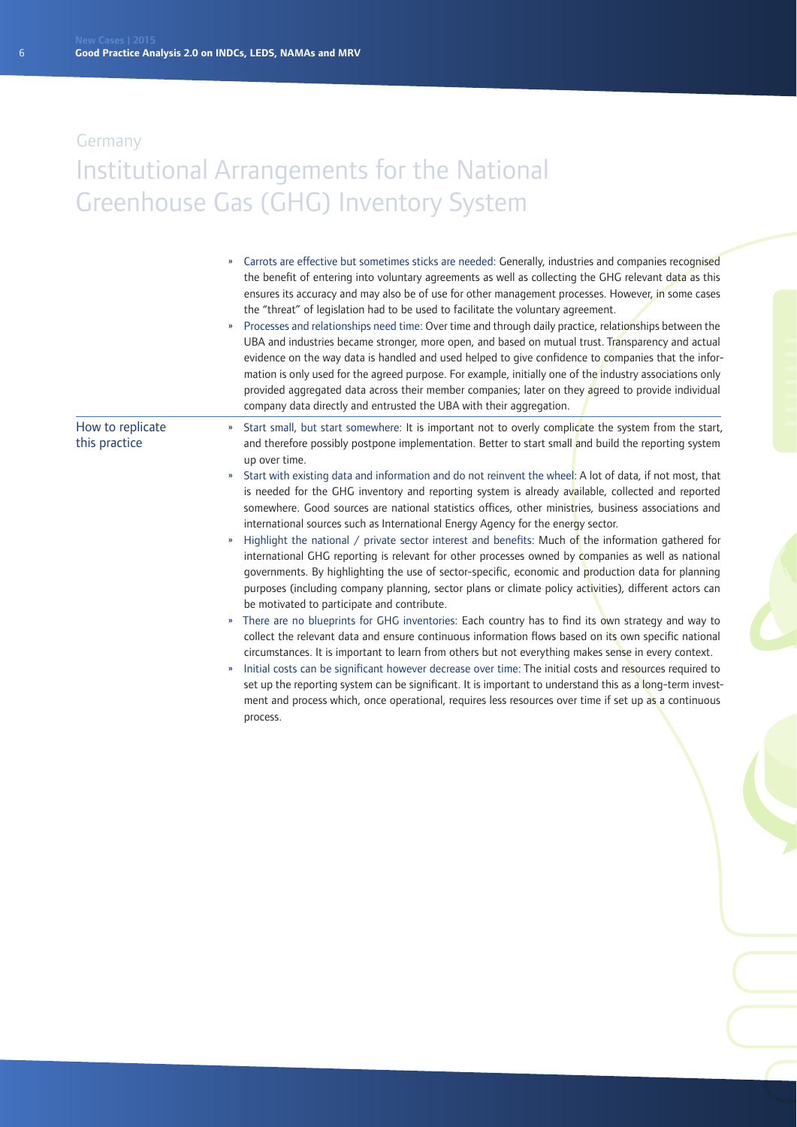|                                   | Carrots are effective but sometimes sticks are needed: Generally, industries and companies recognised<br>the benefit of entering into voluntary agreements as well as collecting the GHG relevant data as this<br>ensures its accuracy and may also be of use for other management processes. However, in some cases<br>the "threat" of legislation had to be used to facilitate the voluntary agreement.<br>Processes and relationships need time: Over time and through daily practice, relationships between the<br>»<br>UBA and industries became stronger, more open, and based on mutual trust. Transparency and actual<br>evidence on the way data is handled and used helped to give confidence to companies that the infor-<br>mation is only used for the agreed purpose. For example, initially one of the industry associations only<br>provided aggregated data across their member companies; later on they agreed to provide individual<br>company data directly and entrusted the UBA with their aggregation.                                                                                                                                                                                                                                                                                                                                                                                                                                                                                                                                                                                                                                                                                                                               |
|-----------------------------------|-------------------------------------------------------------------------------------------------------------------------------------------------------------------------------------------------------------------------------------------------------------------------------------------------------------------------------------------------------------------------------------------------------------------------------------------------------------------------------------------------------------------------------------------------------------------------------------------------------------------------------------------------------------------------------------------------------------------------------------------------------------------------------------------------------------------------------------------------------------------------------------------------------------------------------------------------------------------------------------------------------------------------------------------------------------------------------------------------------------------------------------------------------------------------------------------------------------------------------------------------------------------------------------------------------------------------------------------------------------------------------------------------------------------------------------------------------------------------------------------------------------------------------------------------------------------------------------------------------------------------------------------------------------------------------------------------------------------------------------------------------------|
| How to replicate<br>this practice | Start small, but start somewhere: It is important not to overly complicate the system from the start,<br>$\boldsymbol{\mathcal{V}}$<br>and therefore possibly postpone implementation. Better to start small and build the reporting system<br>up over time.<br>Start with existing data and information and do not reinvent the wheel: A lot of data, if not most, that<br>$\boldsymbol{\mathfrak{D}}$<br>is needed for the GHG inventory and reporting system is already available, collected and reported<br>somewhere. Good sources are national statistics offices, other ministries, business associations and<br>international sources such as International Energy Agency for the energy sector.<br>Highlight the national $/$ private sector interest and benefits: Much of the information gathered for<br>»<br>international GHG reporting is relevant for other processes owned by companies as well as national<br>governments. By highlighting the use of sector-specific, economic and production data for planning<br>purposes (including company planning, sector plans or climate policy activities), different actors can<br>be motivated to participate and contribute.<br>There are no blueprints for GHG inventories: Each country has to find its own strategy and way to<br>${\bf n}$<br>collect the relevant data and ensure continuous information flows based on its own specific national<br>circumstances. It is important to learn from others but not everything makes sense in every context.<br>Initial costs can be significant however decrease over time: The initial costs and resources required to<br>»<br>set up the reporting system can be significant. It is important to understand this as a long-term invest- |
|                                   | ment and process which, once operational, requires less resources over time if set up as a continuous<br>process.                                                                                                                                                                                                                                                                                                                                                                                                                                                                                                                                                                                                                                                                                                                                                                                                                                                                                                                                                                                                                                                                                                                                                                                                                                                                                                                                                                                                                                                                                                                                                                                                                                           |